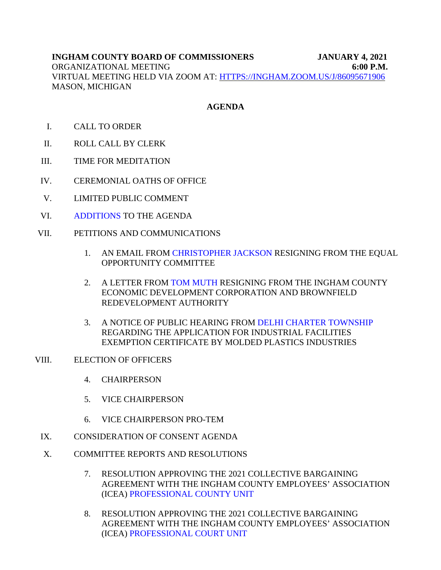# **AGENDA**

- I. CALL TO ORDER
- II. ROLL CALL BY CLERK
- III. TIME FOR MEDITATION
- IV. CEREMONIAL OATHS OF OFFICE
- V. LIMITED PUBLIC COMMENT
- VI. [ADDITIONS](#page-14-0) TO THE AGENDA
- VII. PETITIONS AND COMMUNICATIONS
	- 1. AN EMAIL FRO[M CHRISTOPHER JACKSON RESIGNIN](#page-3-0)G FROM THE EQUAL OPPORTUNITY COMMITTEE
	- 2. A LETTER F[ROM TOM MUTH RESIGNING](#page-4-0) FROM THE INGHAM COUNTY ECONOMIC DEVELOPMENT CORPORATION AND BROWNFIELD REDEVELOPMENT AUTHORITY
	- 3. A NOTICE OF PUBLIC HEARING FROM [DELHI CHARTER TOWNSHIP](#page-5-0) REGARDING THE APPLICATION FOR INDUSTRIAL FACILITIES EXEMPTION CERTIFICATE BY MOLDED PLASTICS INDUSTRIES
- VIII. ELECTION OF OFFICERS
	- 4. CHAIRPERSON
	- 5. VICE CHAIRPERSON
	- 6. VICE CHAIRPERSON PRO-TEM
	- IX. CONSIDERATION OF CONSENT AGENDA
	- X. COMMITTEE REPORTS AND RESOLUTIONS
		- 7. RESOLUTION APPROVING THE 2021 COLLECTIVE BARGAINING AG[REEMENT WITH THE INGHAM COUNTY](#page-6-0) EMPLOYEES' ASSOCIATION (ICEA) PROFESSIONAL COUNTY UNIT
		- 8. RESOLUTION APPROVING THE 2021 COLLECTIVE BARGAINING AGREEMENT WITH THE INGHAM COUNTY EMPLOYEES' ASSOCIATION (ICE[A\) PROFESSIONAL COURT UNIT](#page-7-0)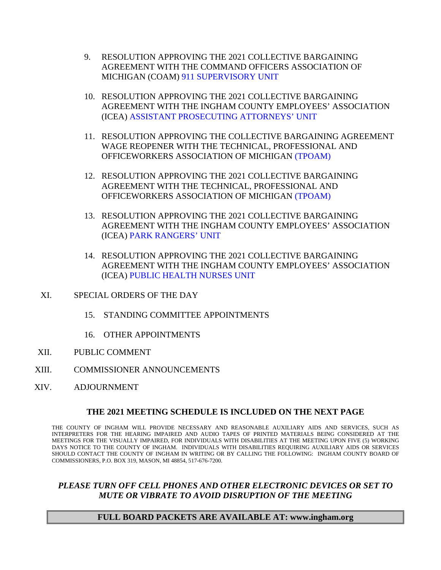- 9. RESOLUTION APPROVING THE 2021 COLLECTIVE BARGAINING AGREEMENT [WITH THE COMMAND OFFICERS ASSO](#page-8-0)CIATION OF MICHIGAN (COAM) 911 SUPERVISORY UNIT
- 10. RESOLUTION APPROVING THE 2021 COLLECTIVE BARGAINING AGREEMENT WITH THE INGHAM COUNTY EMPLOYEES' ASSOCIATION (IC[EA\) ASSISTANT PROSECUTING ATTORNEYS' UNIT](#page-9-0)
- 11. RESOLUTION APPROVING THE COLLECTIVE BARGAINING AGREEMENT WAGE REOPENER WITH THE TECHNICAL, PROFESSIONAL AND OFFICEWORKERS ASSOCIATION OF MICHI[GAN \(TPOAM\)](#page-10-0)
- 12. RESOLUTION APPROVING THE 2021 COLLECTIVE BARGAINING AGREEMENT WITH THE TECHNICAL, PROFESSIONAL AND OFFICEWORKERS ASSOCIATION OF MICHI[GAN \(TPOAM\)](#page-11-0)
- 13. RESOLUTION APPROVING THE 2021 COLLECTIVE BARGAINING AGREEMENT WITH THE INGHAM COUNTY EMPLOYEES' ASSOCIATION (ICEA) [PARK RANGERS' UNIT](#page-12-0)
- 14. RESOLUTION APPROVING THE 2021 COLLECTIVE BARGAINING AGREEMENT WITH THE INGHAM COUNTY EMPLOYEES' ASSOCIATION (ICE[A\) PUBLIC HEALTH NURSES UNIT](#page-13-0)
- XI. SPECIAL ORDERS OF THE DAY
	- 15. STANDING COMMITTEE APPOINTMENTS
	- 16. OTHER APPOINTMENTS
- XII. PUBLIC COMMENT
- XIII. COMMISSIONER ANNOUNCEMENTS
- XIV. ADJOURNMENT

## **THE 2021 MEETING SCHEDULE IS INCLUDED ON THE NEXT PAGE**

THE COUNTY OF INGHAM WILL PROVIDE NECESSARY AND REASONABLE AUXILIARY AIDS AND SERVICES, SUCH AS INTERPRETERS FOR THE HEARING IMPAIRED AND AUDIO TAPES OF PRINTED MATERIALS BEING CONSIDERED AT THE MEETINGS FOR THE VISUALLY IMPAIRED, FOR INDIVIDUALS WITH DISABILITIES AT THE MEETING UPON FIVE (5) WORKING DAYS NOTICE TO THE COUNTY OF INGHAM. INDIVIDUALS WITH DISABILITIES REQUIRING AUXILIARY AIDS OR SERVICES SHOULD CONTACT THE COUNTY OF INGHAM IN WRITING OR BY CALLING THE FOLLOWING: INGHAM COUNTY BOARD OF COMMISSIONERS, P.O. BOX 319, MASON, MI 48854, 517-676-7200.

## *PLEASE TURN OFF CELL PHONES AND OTHER ELECTRONIC DEVICES OR SET TO MUTE OR VIBRATE TO AVOID DISRUPTION OF THE MEETING*

## **FULL BOARD PACKETS ARE AVAILABLE AT: www.ingham.org**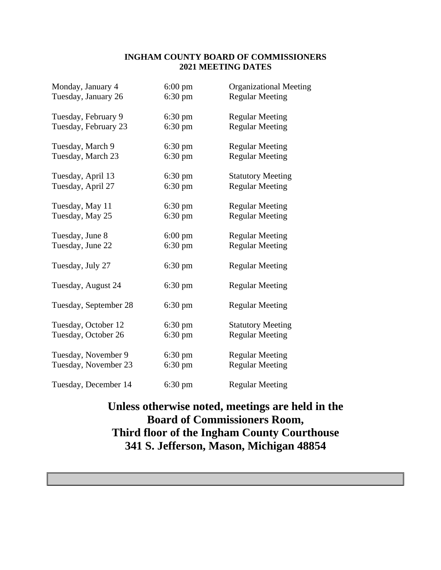# **INGHAM COUNTY BOARD OF COMMISSIONERS 2021 MEETING DATES**

| Monday, January 4     | $6:00 \text{ pm}$ | <b>Organizational Meeting</b> |
|-----------------------|-------------------|-------------------------------|
| Tuesday, January 26   | $6:30 \text{ pm}$ | <b>Regular Meeting</b>        |
| Tuesday, February 9   | 6:30 pm           | <b>Regular Meeting</b>        |
| Tuesday, February 23  | $6:30 \text{ pm}$ | <b>Regular Meeting</b>        |
| Tuesday, March 9      | $6:30 \text{ pm}$ | <b>Regular Meeting</b>        |
| Tuesday, March 23     | $6:30 \text{ pm}$ | <b>Regular Meeting</b>        |
| Tuesday, April 13     | $6:30 \text{ pm}$ | <b>Statutory Meeting</b>      |
| Tuesday, April 27     | $6:30 \text{ pm}$ | <b>Regular Meeting</b>        |
| Tuesday, May 11       | $6:30 \text{ pm}$ | <b>Regular Meeting</b>        |
| Tuesday, May 25       | $6:30 \text{ pm}$ | <b>Regular Meeting</b>        |
| Tuesday, June 8       | $6:00 \text{ pm}$ | <b>Regular Meeting</b>        |
| Tuesday, June 22      | $6:30$ pm         | <b>Regular Meeting</b>        |
| Tuesday, July 27      | $6:30 \text{ pm}$ | <b>Regular Meeting</b>        |
| Tuesday, August 24    | $6:30 \text{ pm}$ | <b>Regular Meeting</b>        |
| Tuesday, September 28 | $6:30 \text{ pm}$ | <b>Regular Meeting</b>        |
| Tuesday, October 12   | $6:30 \text{ pm}$ | <b>Statutory Meeting</b>      |
| Tuesday, October 26   | $6:30 \text{ pm}$ | <b>Regular Meeting</b>        |
| Tuesday, November 9   | $6:30 \text{ pm}$ | <b>Regular Meeting</b>        |
| Tuesday, November 23  | $6:30 \text{ pm}$ | <b>Regular Meeting</b>        |
| Tuesday, December 14  | $6:30 \text{ pm}$ | <b>Regular Meeting</b>        |

# **Unless otherwise noted, meetings are held in the Board of Commissioners Room, Third floor of the Ingham County Courthouse 341 S. Jefferson, Mason, Michigan 48854**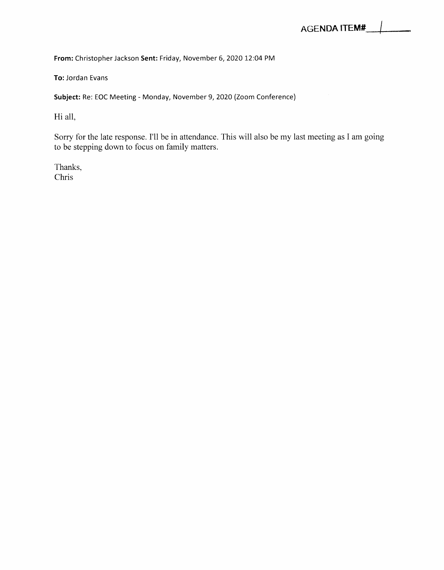<span id="page-3-0"></span>*From:* Christopher Jackson *Sent:* Friday, November 6, 2020 12:04 PM

To: Jordan Evans

*Subject:* Re: EOC Meeting - Monday, November 9, 2020 (Zoom Conference)

Hi all,

Sorry for the late response. I'll be in attendance. This will also be my last meeting as I am going to be stepping down to focus on family matters.

Thanks, Chris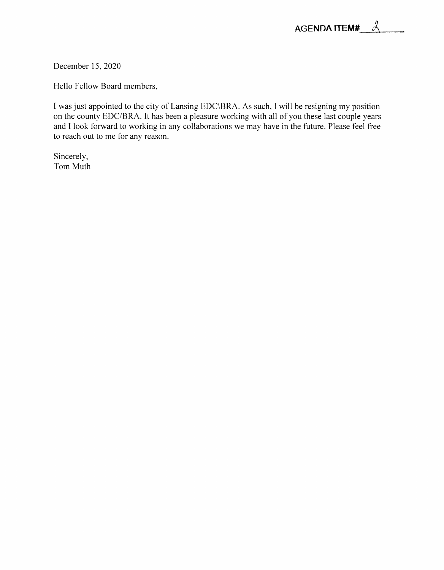<span id="page-4-0"></span>December 15, 2020

Hello Fellow Board members,

I was just appointed to the city of Lansing EDC\BRA. As such, I will be resigning my position on the county EDC/BRA. It has been a pleasure working with all of you these last couple years and I look forward to working in any collaborations we may have in the future. Please feel free to reach out to me for any reason.

Sincerely, Tom Muth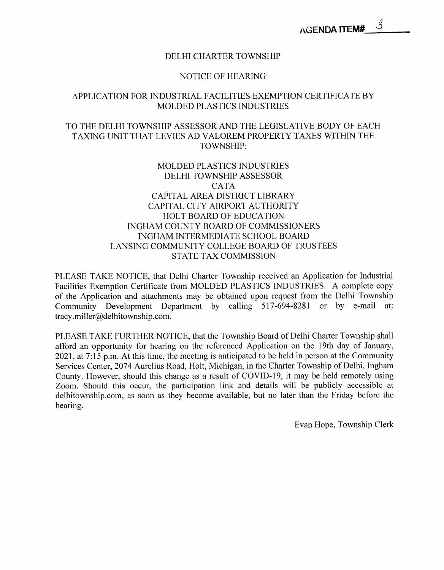#### DELHI CHARTER TOWNSHIP

#### NOTICE OF HEARING

# <span id="page-5-0"></span>APPLICATION FOR INDUSTRIAL FACILITIES EXEMPTION CERTIFICATE BY MOLDED PLASTICS INDUSTRIES

# TO THE DELHI TOWNSHIP ASSESSOR AND THE LEGISLATIVE BODY OF EACH TAXING UNIT THAT LEVIES AD VALOREM PROPERTY TAXES WITHIN THE TOWNSHIP:

# MOLDED PLASTICS INDUSTRIES DELHI TOWNSHIP ASSESSOR CATA CAPITAL AREA DISTRICT LIBRARY CAPITAL CITY AIRPORT AUTHORITY HOLT BOARD OF EDUCATION INGHAM COUNTY BOARD OF COMMISSIONERS INGHAM INTERMEDIATE SCHOOL BOARD LANSING COMMUNITY COLLEGE BOARD OF TRUSTEES STATE TAX COMMISSION

PLEASE TAKE NOTICE, that Delhi Charter Township received an Application for Industrial Facilities Exemption Certificate from MOLDED PLASTICS INDUSTRIES. A complete copy of the Application and attachments may be obtained upon request from the Delhi Township Community Development Department by calling 517-694-8281 or by e-mail at: tracy .miller@delhitownship.com.

PLEASE TAKE FURTHER NOTICE, that the Township Board of Delhi Charter Township shall afford an opportunity for hearing on the referenced Application on the 19th day of January, 2021, at 7:15 p.m. At this time, the meeting is anticipated to be held in person at the Community Services Center, 2074 Aurelius Road, Holt, Michigan, in the Charter Township of Delhi, Ingham County. However, should this change as a result of COVID-19, it may be held remotely using Zoom. Should this occur, the participation link and details will be publicly accessible at delhitownship.com, as soon as they become available, but no later than the Friday before the hearing.

Evan Hope, Township Clerk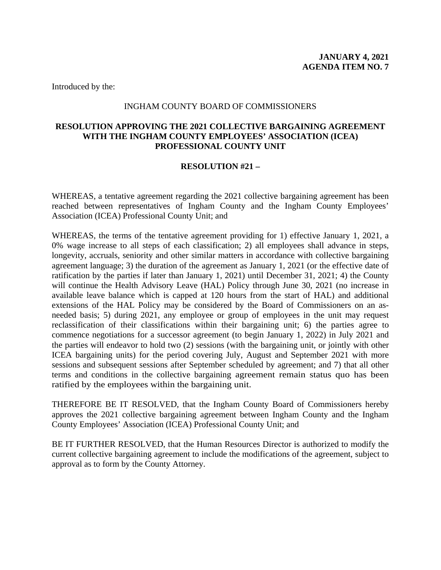## INGHAM COUNTY BOARD OF COMMISSIONERS

# <span id="page-6-0"></span>**RESOLUTION APPROVING THE 2021 COLLECTIVE BARGAINING AGREEMENT WITH THE INGHAM COUNTY EMPLOYEES' ASSOCIATION (ICEA) PROFESSIONAL COUNTY UNIT**

## **RESOLUTION #21 –**

WHEREAS, a tentative agreement regarding the 2021 collective bargaining agreement has been reached between representatives of Ingham County and the Ingham County Employees' Association (ICEA) Professional County Unit; and

WHEREAS, the terms of the tentative agreement providing for 1) effective January 1, 2021, a 0% wage increase to all steps of each classification; 2) all employees shall advance in steps, longevity, accruals, seniority and other similar matters in accordance with collective bargaining agreement language; 3) the duration of the agreement as January 1, 2021 (or the effective date of ratification by the parties if later than January 1, 2021) until December 31, 2021; 4) the County will continue the Health Advisory Leave (HAL) Policy through June 30, 2021 (no increase in available leave balance which is capped at 120 hours from the start of HAL) and additional extensions of the HAL Policy may be considered by the Board of Commissioners on an asneeded basis; 5) during 2021, any employee or group of employees in the unit may request reclassification of their classifications within their bargaining unit; 6) the parties agree to commence negotiations for a successor agreement (to begin January 1, 2022) in July 2021 and the parties will endeavor to hold two (2) sessions (with the bargaining unit, or jointly with other ICEA bargaining units) for the period covering July, August and September 2021 with more sessions and subsequent sessions after September scheduled by agreement; and 7) that all other terms and conditions in the collective bargaining agreement remain status quo has been ratified by the employees within the bargaining unit.

THEREFORE BE IT RESOLVED, that the Ingham County Board of Commissioners hereby approves the 2021 collective bargaining agreement between Ingham County and the Ingham County Employees' Association (ICEA) Professional County Unit; and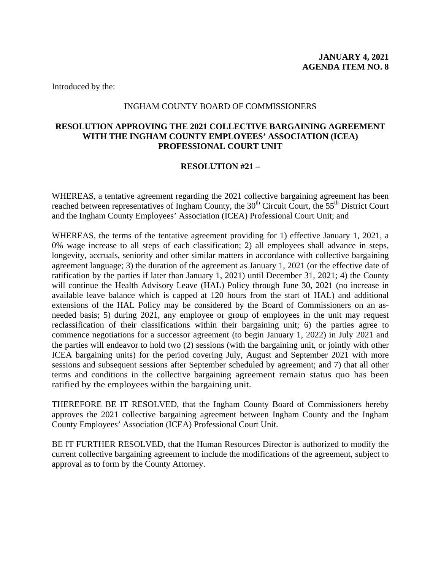## INGHAM COUNTY BOARD OF COMMISSIONERS

# <span id="page-7-0"></span>**RESOLUTION APPROVING THE 2021 COLLECTIVE BARGAINING AGREEMENT WITH THE INGHAM COUNTY EMPLOYEES' ASSOCIATION (ICEA) PROFESSIONAL COURT UNIT**

# **RESOLUTION #21 –**

WHEREAS, a tentative agreement regarding the 2021 collective bargaining agreement has been reached between representatives of Ingham County, the 30<sup>th</sup> Circuit Court, the 55<sup>th</sup> District Court and the Ingham County Employees' Association (ICEA) Professional Court Unit; and

WHEREAS, the terms of the tentative agreement providing for 1) effective January 1, 2021, a 0% wage increase to all steps of each classification; 2) all employees shall advance in steps, longevity, accruals, seniority and other similar matters in accordance with collective bargaining agreement language; 3) the duration of the agreement as January 1, 2021 (or the effective date of ratification by the parties if later than January 1, 2021) until December 31, 2021; 4) the County will continue the Health Advisory Leave (HAL) Policy through June 30, 2021 (no increase in available leave balance which is capped at 120 hours from the start of HAL) and additional extensions of the HAL Policy may be considered by the Board of Commissioners on an asneeded basis; 5) during 2021, any employee or group of employees in the unit may request reclassification of their classifications within their bargaining unit; 6) the parties agree to commence negotiations for a successor agreement (to begin January 1, 2022) in July 2021 and the parties will endeavor to hold two (2) sessions (with the bargaining unit, or jointly with other ICEA bargaining units) for the period covering July, August and September 2021 with more sessions and subsequent sessions after September scheduled by agreement; and 7) that all other terms and conditions in the collective bargaining agreement remain status quo has been ratified by the employees within the bargaining unit.

THEREFORE BE IT RESOLVED, that the Ingham County Board of Commissioners hereby approves the 2021 collective bargaining agreement between Ingham County and the Ingham County Employees' Association (ICEA) Professional Court Unit.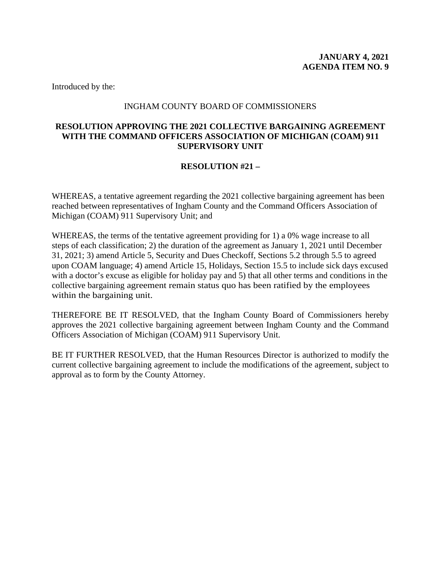# INGHAM COUNTY BOARD OF COMMISSIONERS

# <span id="page-8-0"></span>**RESOLUTION APPROVING THE 2021 COLLECTIVE BARGAINING AGREEMENT WITH THE COMMAND OFFICERS ASSOCIATION OF MICHIGAN (COAM) 911 SUPERVISORY UNIT**

# **RESOLUTION #21 –**

WHEREAS, a tentative agreement regarding the 2021 collective bargaining agreement has been reached between representatives of Ingham County and the Command Officers Association of Michigan (COAM) 911 Supervisory Unit; and

WHEREAS, the terms of the tentative agreement providing for 1) a 0% wage increase to all steps of each classification; 2) the duration of the agreement as January 1, 2021 until December 31, 2021; 3) amend Article 5, Security and Dues Checkoff, Sections 5.2 through 5.5 to agreed upon COAM language; 4) amend Article 15, Holidays, Section 15.5 to include sick days excused with a doctor's excuse as eligible for holiday pay and 5) that all other terms and conditions in the collective bargaining agreement remain status quo has been ratified by the employees within the bargaining unit.

THEREFORE BE IT RESOLVED, that the Ingham County Board of Commissioners hereby approves the 2021 collective bargaining agreement between Ingham County and the Command Officers Association of Michigan (COAM) 911 Supervisory Unit.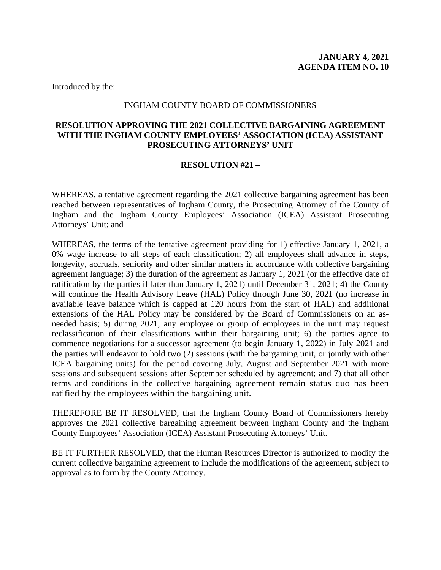#### INGHAM COUNTY BOARD OF COMMISSIONERS

# <span id="page-9-0"></span>**RESOLUTION APPROVING THE 2021 COLLECTIVE BARGAINING AGREEMENT WITH THE INGHAM COUNTY EMPLOYEES' ASSOCIATION (ICEA) ASSISTANT PROSECUTING ATTORNEYS' UNIT**

## **RESOLUTION #21 –**

WHEREAS, a tentative agreement regarding the 2021 collective bargaining agreement has been reached between representatives of Ingham County, the Prosecuting Attorney of the County of Ingham and the Ingham County Employees' Association (ICEA) Assistant Prosecuting Attorneys' Unit; and

WHEREAS, the terms of the tentative agreement providing for 1) effective January 1, 2021, a 0% wage increase to all steps of each classification; 2) all employees shall advance in steps, longevity, accruals, seniority and other similar matters in accordance with collective bargaining agreement language; 3) the duration of the agreement as January 1, 2021 (or the effective date of ratification by the parties if later than January 1, 2021) until December 31, 2021; 4) the County will continue the Health Advisory Leave (HAL) Policy through June 30, 2021 (no increase in available leave balance which is capped at 120 hours from the start of HAL) and additional extensions of the HAL Policy may be considered by the Board of Commissioners on an asneeded basis; 5) during 2021, any employee or group of employees in the unit may request reclassification of their classifications within their bargaining unit; 6) the parties agree to commence negotiations for a successor agreement (to begin January 1, 2022) in July 2021 and the parties will endeavor to hold two (2) sessions (with the bargaining unit, or jointly with other ICEA bargaining units) for the period covering July, August and September 2021 with more sessions and subsequent sessions after September scheduled by agreement; and 7) that all other terms and conditions in the collective bargaining agreement remain status quo has been ratified by the employees within the bargaining unit.

THEREFORE BE IT RESOLVED, that the Ingham County Board of Commissioners hereby approves the 2021 collective bargaining agreement between Ingham County and the Ingham County Employees' Association (ICEA) Assistant Prosecuting Attorneys' Unit.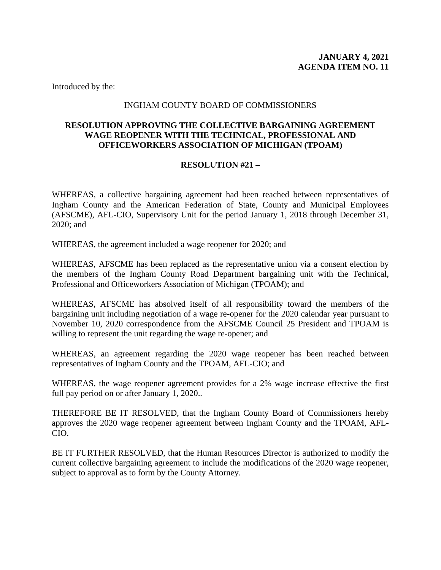# INGHAM COUNTY BOARD OF COMMISSIONERS

# <span id="page-10-0"></span>**RESOLUTION APPROVING THE COLLECTIVE BARGAINING AGREEMENT WAGE REOPENER WITH THE TECHNICAL, PROFESSIONAL AND OFFICEWORKERS ASSOCIATION OF MICHIGAN (TPOAM)**

# **RESOLUTION #21 –**

WHEREAS, a collective bargaining agreement had been reached between representatives of Ingham County and the American Federation of State, County and Municipal Employees (AFSCME), AFL-CIO, Supervisory Unit for the period January 1, 2018 through December 31, 2020; and

WHEREAS, the agreement included a wage reopener for 2020; and

WHEREAS, AFSCME has been replaced as the representative union via a consent election by the members of the Ingham County Road Department bargaining unit with the Technical, Professional and Officeworkers Association of Michigan (TPOAM); and

WHEREAS, AFSCME has absolved itself of all responsibility toward the members of the bargaining unit including negotiation of a wage re-opener for the 2020 calendar year pursuant to November 10, 2020 correspondence from the AFSCME Council 25 President and TPOAM is willing to represent the unit regarding the wage re-opener; and

WHEREAS, an agreement regarding the 2020 wage reopener has been reached between representatives of Ingham County and the TPOAM, AFL-CIO; and

WHEREAS, the wage reopener agreement provides for a 2% wage increase effective the first full pay period on or after January 1, 2020..

THEREFORE BE IT RESOLVED, that the Ingham County Board of Commissioners hereby approves the 2020 wage reopener agreement between Ingham County and the TPOAM, AFL-CIO.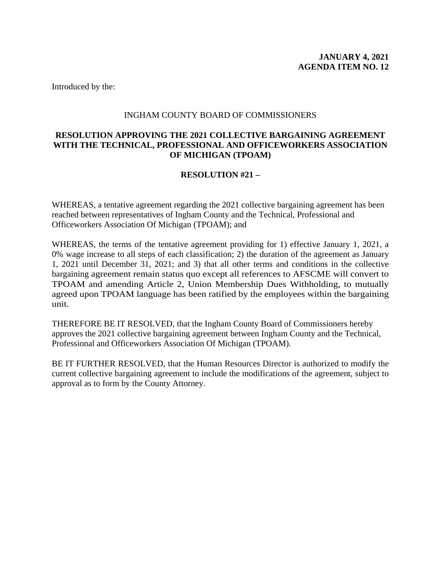## INGHAM COUNTY BOARD OF COMMISSIONERS

# <span id="page-11-0"></span>**RESOLUTION APPROVING THE 2021 COLLECTIVE BARGAINING AGREEMENT WITH THE TECHNICAL, PROFESSIONAL AND OFFICEWORKERS ASSOCIATION OF MICHIGAN (TPOAM)**

## **RESOLUTION #21 –**

WHEREAS, a tentative agreement regarding the 2021 collective bargaining agreement has been reached between representatives of Ingham County and the Technical, Professional and Officeworkers Association Of Michigan (TPOAM); and

WHEREAS, the terms of the tentative agreement providing for 1) effective January 1, 2021, a 0% wage increase to all steps of each classification; 2) the duration of the agreement as January 1, 2021 until December 31, 2021; and 3) that all other terms and conditions in the collective bargaining agreement remain status quo except all references to AFSCME will convert to TPOAM and amending Article 2, Union Membership Dues Withholding, to mutually agreed upon TPOAM language has been ratified by the employees within the bargaining unit.

THEREFORE BE IT RESOLVED, that the Ingham County Board of Commissioners hereby approves the 2021 collective bargaining agreement between Ingham County and the Technical, Professional and Officeworkers Association Of Michigan (TPOAM).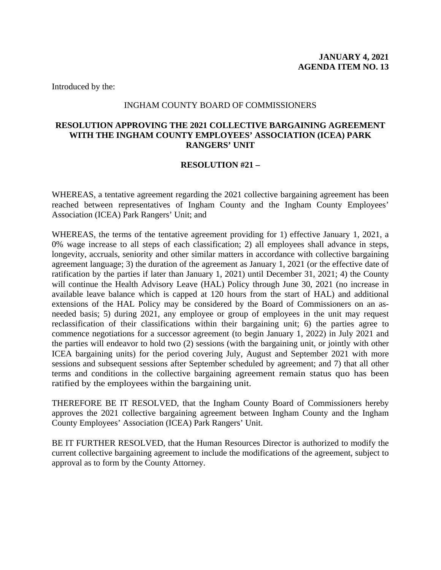#### INGHAM COUNTY BOARD OF COMMISSIONERS

# <span id="page-12-0"></span>**RESOLUTION APPROVING THE 2021 COLLECTIVE BARGAINING AGREEMENT WITH THE INGHAM COUNTY EMPLOYEES' ASSOCIATION (ICEA) PARK RANGERS' UNIT**

## **RESOLUTION #21 –**

WHEREAS, a tentative agreement regarding the 2021 collective bargaining agreement has been reached between representatives of Ingham County and the Ingham County Employees' Association (ICEA) Park Rangers' Unit; and

WHEREAS, the terms of the tentative agreement providing for 1) effective January 1, 2021, a 0% wage increase to all steps of each classification; 2) all employees shall advance in steps, longevity, accruals, seniority and other similar matters in accordance with collective bargaining agreement language; 3) the duration of the agreement as January 1, 2021 (or the effective date of ratification by the parties if later than January 1, 2021) until December 31, 2021; 4) the County will continue the Health Advisory Leave (HAL) Policy through June 30, 2021 (no increase in available leave balance which is capped at 120 hours from the start of HAL) and additional extensions of the HAL Policy may be considered by the Board of Commissioners on an asneeded basis; 5) during 2021, any employee or group of employees in the unit may request reclassification of their classifications within their bargaining unit; 6) the parties agree to commence negotiations for a successor agreement (to begin January 1, 2022) in July 2021 and the parties will endeavor to hold two (2) sessions (with the bargaining unit, or jointly with other ICEA bargaining units) for the period covering July, August and September 2021 with more sessions and subsequent sessions after September scheduled by agreement; and 7) that all other terms and conditions in the collective bargaining agreement remain status quo has been ratified by the employees within the bargaining unit.

THEREFORE BE IT RESOLVED, that the Ingham County Board of Commissioners hereby approves the 2021 collective bargaining agreement between Ingham County and the Ingham County Employees' Association (ICEA) Park Rangers' Unit.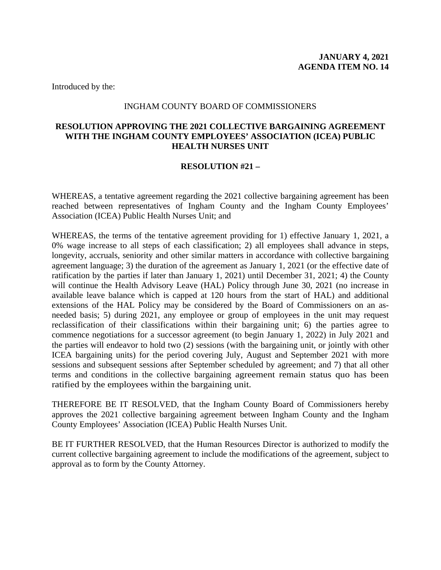#### INGHAM COUNTY BOARD OF COMMISSIONERS

# <span id="page-13-0"></span>**RESOLUTION APPROVING THE 2021 COLLECTIVE BARGAINING AGREEMENT WITH THE INGHAM COUNTY EMPLOYEES' ASSOCIATION (ICEA) PUBLIC HEALTH NURSES UNIT**

## **RESOLUTION #21 –**

WHEREAS, a tentative agreement regarding the 2021 collective bargaining agreement has been reached between representatives of Ingham County and the Ingham County Employees' Association (ICEA) Public Health Nurses Unit; and

WHEREAS, the terms of the tentative agreement providing for 1) effective January 1, 2021, a 0% wage increase to all steps of each classification; 2) all employees shall advance in steps, longevity, accruals, seniority and other similar matters in accordance with collective bargaining agreement language; 3) the duration of the agreement as January 1, 2021 (or the effective date of ratification by the parties if later than January 1, 2021) until December 31, 2021; 4) the County will continue the Health Advisory Leave (HAL) Policy through June 30, 2021 (no increase in available leave balance which is capped at 120 hours from the start of HAL) and additional extensions of the HAL Policy may be considered by the Board of Commissioners on an asneeded basis; 5) during 2021, any employee or group of employees in the unit may request reclassification of their classifications within their bargaining unit; 6) the parties agree to commence negotiations for a successor agreement (to begin January 1, 2022) in July 2021 and the parties will endeavor to hold two (2) sessions (with the bargaining unit, or jointly with other ICEA bargaining units) for the period covering July, August and September 2021 with more sessions and subsequent sessions after September scheduled by agreement; and 7) that all other terms and conditions in the collective bargaining agreement remain status quo has been ratified by the employees within the bargaining unit.

THEREFORE BE IT RESOLVED, that the Ingham County Board of Commissioners hereby approves the 2021 collective bargaining agreement between Ingham County and the Ingham County Employees' Association (ICEA) Public Health Nurses Unit.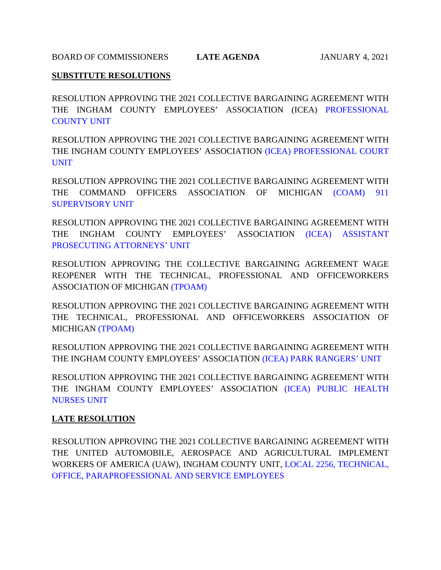<span id="page-14-0"></span>BOARD OF COMMISSIONERS **LATE AGENDA** JANUARY 4, 2021

# **SUBSTITUTE RESOLUTIONS**

RESOLUTION APPROVING THE 2021 COLLECTIVE BARGAINING AGREEMENT WITH [THE INGHAM COUNTY EMPLOYEES' ASSOCIATION \(ICEA\) PROFESSIONAL](#page-15-0)  COUNTY UNIT

RESOLUTION APPROVING THE 2021 COLLECTIVE BARGAINING AGREEMENT WITH [THE INGHAM COUNTY EMPLOYEES' ASSOCIATION \(ICEA\) PROFESSIONAL COURT](#page-16-0)  UNIT

RESOLUTION APPROVING THE 2021 COLLECTIVE BARGAINING AGREEMENT WITH [THE COMMAND OFFICERS ASSOCIATION OF MICHIGAN \(COAM\) 911](#page-17-0)  SUPERVISORY UNIT

RESOLUTION APPROVING THE 2021 COLLECTIVE BARGAINING AGREEMENT WITH [THE INGHAM COUNTY EMPLOYEES' ASSOCIATION \(ICEA\) ASSISTANT](#page-18-0)  PROSECUTING ATTORNEYS' UNIT

RESOLUTION APPROVING THE COLLECTIVE BARGAINING AGREEMENT WAGE REOPENER WITH THE TECHNICAL, PROFESSIONAL AND OFFICEWORKERS ASSOCIATION OF MIC[HIGAN \(TPOAM\)](#page-19-0) 

RESOLUTION APPROVING THE 2021 COLLECTIVE BARGAINING AGREEMENT WITH THE TECHNICAL, PROFESSIONAL AND OFFICEWORKERS ASSOCIATION OF M[ICHIGAN \(TPOAM\)](#page-20-0) 

RESOLUTION APPROVING THE 2021 COLLECTIVE BARGAINING AGREEMENT WITH THE INGHAM COUNTY EMPLOYEES' ASSOCIATI[ON \(ICEA\) PARK RANGERS' UNIT](#page-21-0) 

RESOLUTION APPROVING THE 2021 COLLECTIVE BARGAINING AGREEMENT WITH [THE INGHAM COUNTY EMPLOYEES' ASSOCIATION \(ICEA\) PUBLIC HEALTH](#page-22-0)  NURSES UNIT

# **LATE RESOLUTION**

RESOLUTION APPROVING THE 2021 COLLECTIVE BARGAINING AGREEMENT WITH THE UNITED AUTOMOBILE, AEROSPACE AND AGRICULTURAL IMPLEMENT [WORKERS OF AMERICA \(UAW\), INGHAM COUNTY UNIT, LOCAL 2256, TECHNICAL,](#page-23-0)  OFFICE, PARAPROFESSIONAL AND SERVICE EMPLOYEES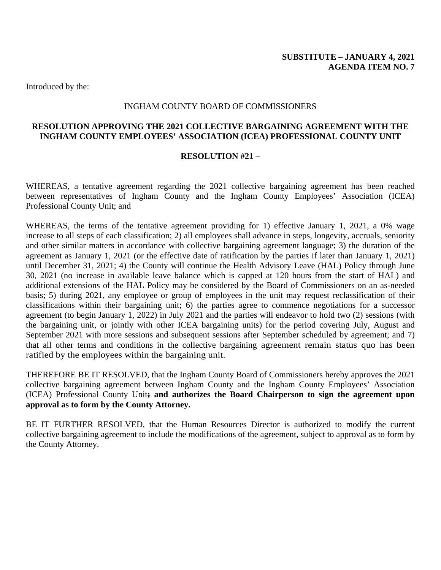## INGHAM COUNTY BOARD OF COMMISSIONERS

# <span id="page-15-0"></span>**RESOLUTION APPROVING THE 2021 COLLECTIVE BARGAINING AGREEMENT WITH THE INGHAM COUNTY EMPLOYEES' ASSOCIATION (ICEA) PROFESSIONAL COUNTY UNIT**

#### **RESOLUTION #21 –**

WHEREAS, a tentative agreement regarding the 2021 collective bargaining agreement has been reached between representatives of Ingham County and the Ingham County Employees' Association (ICEA) Professional County Unit; and

WHEREAS, the terms of the tentative agreement providing for 1) effective January 1, 2021, a 0% wage increase to all steps of each classification; 2) all employees shall advance in steps, longevity, accruals, seniority and other similar matters in accordance with collective bargaining agreement language; 3) the duration of the agreement as January 1, 2021 (or the effective date of ratification by the parties if later than January 1, 2021) until December 31, 2021; 4) the County will continue the Health Advisory Leave (HAL) Policy through June 30, 2021 (no increase in available leave balance which is capped at 120 hours from the start of HAL) and additional extensions of the HAL Policy may be considered by the Board of Commissioners on an as-needed basis; 5) during 2021, any employee or group of employees in the unit may request reclassification of their classifications within their bargaining unit; 6) the parties agree to commence negotiations for a successor agreement (to begin January 1, 2022) in July 2021 and the parties will endeavor to hold two (2) sessions (with the bargaining unit, or jointly with other ICEA bargaining units) for the period covering July, August and September 2021 with more sessions and subsequent sessions after September scheduled by agreement; and 7) that all other terms and conditions in the collective bargaining agreement remain status quo has been ratified by the employees within the bargaining unit.

THEREFORE BE IT RESOLVED, that the Ingham County Board of Commissioners hereby approves the 2021 collective bargaining agreement between Ingham County and the Ingham County Employees' Association (ICEA) Professional County Unit**; and authorizes the Board Chairperson to sign the agreement upon approval as to form by the County Attorney.**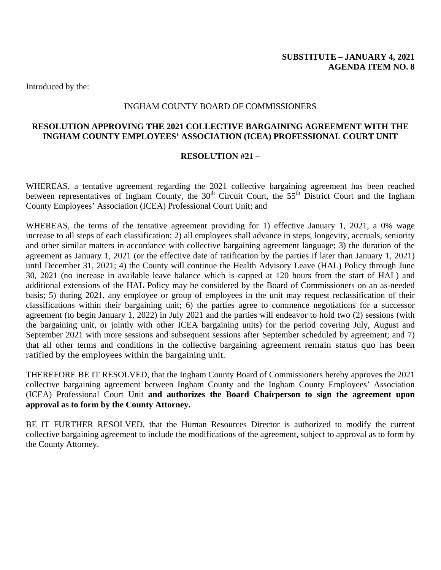## INGHAM COUNTY BOARD OF COMMISSIONERS

# <span id="page-16-0"></span>**RESOLUTION APPROVING THE 2021 COLLECTIVE BARGAINING AGREEMENT WITH THE INGHAM COUNTY EMPLOYEES' ASSOCIATION (ICEA) PROFESSIONAL COURT UNIT**

#### **RESOLUTION #21 –**

WHEREAS, a tentative agreement regarding the 2021 collective bargaining agreement has been reached between representatives of Ingham County, the  $30<sup>th</sup>$  Circuit Court, the  $55<sup>th</sup>$  District Court and the Ingham County Employees' Association (ICEA) Professional Court Unit; and

WHEREAS, the terms of the tentative agreement providing for 1) effective January 1, 2021, a 0% wage increase to all steps of each classification; 2) all employees shall advance in steps, longevity, accruals, seniority and other similar matters in accordance with collective bargaining agreement language; 3) the duration of the agreement as January 1, 2021 (or the effective date of ratification by the parties if later than January 1, 2021) until December 31, 2021; 4) the County will continue the Health Advisory Leave (HAL) Policy through June 30, 2021 (no increase in available leave balance which is capped at 120 hours from the start of HAL) and additional extensions of the HAL Policy may be considered by the Board of Commissioners on an as-needed basis; 5) during 2021, any employee or group of employees in the unit may request reclassification of their classifications within their bargaining unit; 6) the parties agree to commence negotiations for a successor agreement (to begin January 1, 2022) in July 2021 and the parties will endeavor to hold two (2) sessions (with the bargaining unit, or jointly with other ICEA bargaining units) for the period covering July, August and September 2021 with more sessions and subsequent sessions after September scheduled by agreement; and 7) that all other terms and conditions in the collective bargaining agreement remain status quo has been ratified by the employees within the bargaining unit.

THEREFORE BE IT RESOLVED, that the Ingham County Board of Commissioners hereby approves the 2021 collective bargaining agreement between Ingham County and the Ingham County Employees' Association (ICEA) Professional Court Unit **and authorizes the Board Chairperson to sign the agreement upon approval as to form by the County Attorney.**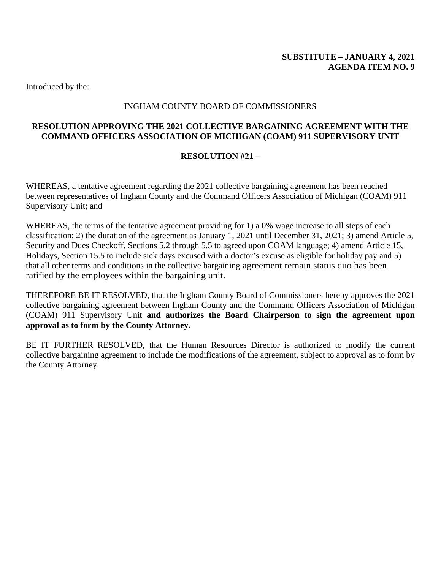# INGHAM COUNTY BOARD OF COMMISSIONERS

# <span id="page-17-0"></span>**RESOLUTION APPROVING THE 2021 COLLECTIVE BARGAINING AGREEMENT WITH THE COMMAND OFFICERS ASSOCIATION OF MICHIGAN (COAM) 911 SUPERVISORY UNIT**

# **RESOLUTION #21 –**

WHEREAS, a tentative agreement regarding the 2021 collective bargaining agreement has been reached between representatives of Ingham County and the Command Officers Association of Michigan (COAM) 911 Supervisory Unit; and

WHEREAS, the terms of the tentative agreement providing for 1) a 0% wage increase to all steps of each classification; 2) the duration of the agreement as January 1, 2021 until December 31, 2021; 3) amend Article 5, Security and Dues Checkoff, Sections 5.2 through 5.5 to agreed upon COAM language; 4) amend Article 15, Holidays, Section 15.5 to include sick days excused with a doctor's excuse as eligible for holiday pay and 5) that all other terms and conditions in the collective bargaining agreement remain status quo has been ratified by the employees within the bargaining unit.

THEREFORE BE IT RESOLVED, that the Ingham County Board of Commissioners hereby approves the 2021 collective bargaining agreement between Ingham County and the Command Officers Association of Michigan (COAM) 911 Supervisory Unit **and authorizes the Board Chairperson to sign the agreement upon approval as to form by the County Attorney.**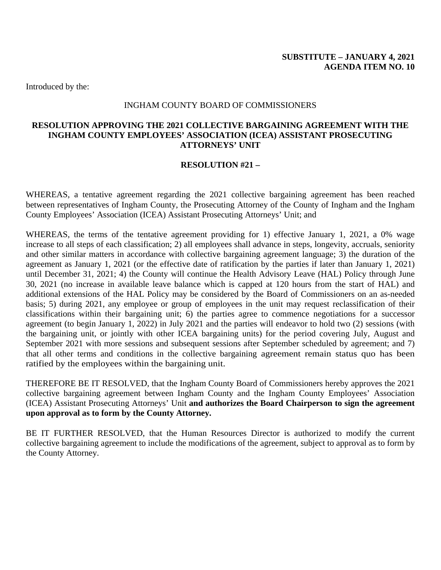#### INGHAM COUNTY BOARD OF COMMISSIONERS

# <span id="page-18-0"></span>**RESOLUTION APPROVING THE 2021 COLLECTIVE BARGAINING AGREEMENT WITH THE INGHAM COUNTY EMPLOYEES' ASSOCIATION (ICEA) ASSISTANT PROSECUTING ATTORNEYS' UNIT**

## **RESOLUTION #21 –**

WHEREAS, a tentative agreement regarding the 2021 collective bargaining agreement has been reached between representatives of Ingham County, the Prosecuting Attorney of the County of Ingham and the Ingham County Employees' Association (ICEA) Assistant Prosecuting Attorneys' Unit; and

WHEREAS, the terms of the tentative agreement providing for 1) effective January 1, 2021, a 0% wage increase to all steps of each classification; 2) all employees shall advance in steps, longevity, accruals, seniority and other similar matters in accordance with collective bargaining agreement language; 3) the duration of the agreement as January 1, 2021 (or the effective date of ratification by the parties if later than January 1, 2021) until December 31, 2021; 4) the County will continue the Health Advisory Leave (HAL) Policy through June 30, 2021 (no increase in available leave balance which is capped at 120 hours from the start of HAL) and additional extensions of the HAL Policy may be considered by the Board of Commissioners on an as-needed basis; 5) during 2021, any employee or group of employees in the unit may request reclassification of their classifications within their bargaining unit; 6) the parties agree to commence negotiations for a successor agreement (to begin January 1, 2022) in July 2021 and the parties will endeavor to hold two (2) sessions (with the bargaining unit, or jointly with other ICEA bargaining units) for the period covering July, August and September 2021 with more sessions and subsequent sessions after September scheduled by agreement; and 7) that all other terms and conditions in the collective bargaining agreement remain status quo has been ratified by the employees within the bargaining unit.

THEREFORE BE IT RESOLVED, that the Ingham County Board of Commissioners hereby approves the 2021 collective bargaining agreement between Ingham County and the Ingham County Employees' Association (ICEA) Assistant Prosecuting Attorneys' Unit **and authorizes the Board Chairperson to sign the agreement upon approval as to form by the County Attorney.**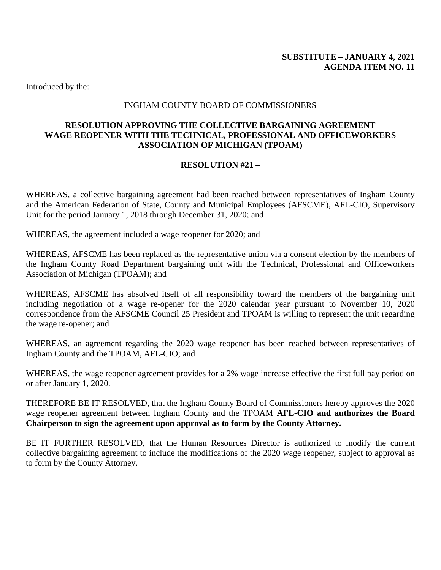## INGHAM COUNTY BOARD OF COMMISSIONERS

# <span id="page-19-0"></span>**RESOLUTION APPROVING THE COLLECTIVE BARGAINING AGREEMENT WAGE REOPENER WITH THE TECHNICAL, PROFESSIONAL AND OFFICEWORKERS ASSOCIATION OF MICHIGAN (TPOAM)**

# **RESOLUTION #21 –**

WHEREAS, a collective bargaining agreement had been reached between representatives of Ingham County and the American Federation of State, County and Municipal Employees (AFSCME), AFL-CIO, Supervisory Unit for the period January 1, 2018 through December 31, 2020; and

WHEREAS, the agreement included a wage reopener for 2020; and

WHEREAS, AFSCME has been replaced as the representative union via a consent election by the members of the Ingham County Road Department bargaining unit with the Technical, Professional and Officeworkers Association of Michigan (TPOAM); and

WHEREAS, AFSCME has absolved itself of all responsibility toward the members of the bargaining unit including negotiation of a wage re-opener for the 2020 calendar year pursuant to November 10, 2020 correspondence from the AFSCME Council 25 President and TPOAM is willing to represent the unit regarding the wage re-opener; and

WHEREAS, an agreement regarding the 2020 wage reopener has been reached between representatives of Ingham County and the TPOAM, AFL-CIO; and

WHEREAS, the wage reopener agreement provides for a 2% wage increase effective the first full pay period on or after January 1, 2020.

THEREFORE BE IT RESOLVED, that the Ingham County Board of Commissioners hereby approves the 2020 wage reopener agreement between Ingham County and the TPOAM **AFL-CIO and authorizes the Board Chairperson to sign the agreement upon approval as to form by the County Attorney.**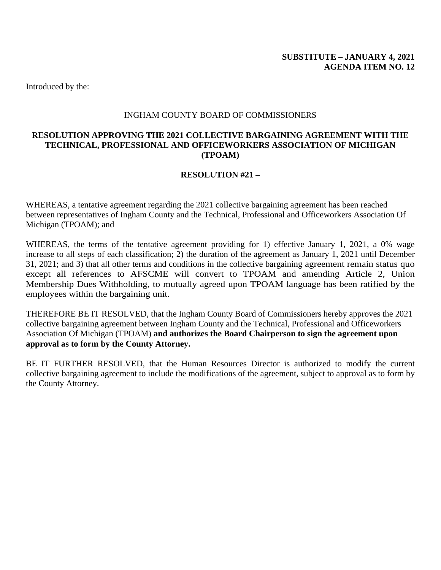## INGHAM COUNTY BOARD OF COMMISSIONERS

# <span id="page-20-0"></span>**RESOLUTION APPROVING THE 2021 COLLECTIVE BARGAINING AGREEMENT WITH THE TECHNICAL, PROFESSIONAL AND OFFICEWORKERS ASSOCIATION OF MICHIGAN (TPOAM)**

# **RESOLUTION #21 –**

WHEREAS, a tentative agreement regarding the 2021 collective bargaining agreement has been reached between representatives of Ingham County and the Technical, Professional and Officeworkers Association Of Michigan (TPOAM); and

WHEREAS, the terms of the tentative agreement providing for 1) effective January 1, 2021, a 0% wage increase to all steps of each classification; 2) the duration of the agreement as January 1, 2021 until December 31, 2021; and 3) that all other terms and conditions in the collective bargaining agreement remain status quo except all references to AFSCME will convert to TPOAM and amending Article 2, Union Membership Dues Withholding, to mutually agreed upon TPOAM language has been ratified by the employees within the bargaining unit.

THEREFORE BE IT RESOLVED, that the Ingham County Board of Commissioners hereby approves the 2021 collective bargaining agreement between Ingham County and the Technical, Professional and Officeworkers Association Of Michigan (TPOAM) **and authorizes the Board Chairperson to sign the agreement upon approval as to form by the County Attorney.**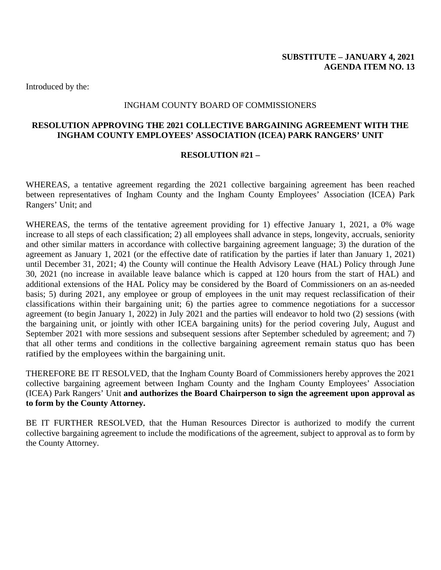## INGHAM COUNTY BOARD OF COMMISSIONERS

# <span id="page-21-0"></span>**RESOLUTION APPROVING THE 2021 COLLECTIVE BARGAINING AGREEMENT WITH THE INGHAM COUNTY EMPLOYEES' ASSOCIATION (ICEA) PARK RANGERS' UNIT**

#### **RESOLUTION #21 –**

WHEREAS, a tentative agreement regarding the 2021 collective bargaining agreement has been reached between representatives of Ingham County and the Ingham County Employees' Association (ICEA) Park Rangers' Unit; and

WHEREAS, the terms of the tentative agreement providing for 1) effective January 1, 2021, a 0% wage increase to all steps of each classification; 2) all employees shall advance in steps, longevity, accruals, seniority and other similar matters in accordance with collective bargaining agreement language; 3) the duration of the agreement as January 1, 2021 (or the effective date of ratification by the parties if later than January 1, 2021) until December 31, 2021; 4) the County will continue the Health Advisory Leave (HAL) Policy through June 30, 2021 (no increase in available leave balance which is capped at 120 hours from the start of HAL) and additional extensions of the HAL Policy may be considered by the Board of Commissioners on an as-needed basis; 5) during 2021, any employee or group of employees in the unit may request reclassification of their classifications within their bargaining unit; 6) the parties agree to commence negotiations for a successor agreement (to begin January 1, 2022) in July 2021 and the parties will endeavor to hold two (2) sessions (with the bargaining unit, or jointly with other ICEA bargaining units) for the period covering July, August and September 2021 with more sessions and subsequent sessions after September scheduled by agreement; and 7) that all other terms and conditions in the collective bargaining agreement remain status quo has been ratified by the employees within the bargaining unit.

THEREFORE BE IT RESOLVED, that the Ingham County Board of Commissioners hereby approves the 2021 collective bargaining agreement between Ingham County and the Ingham County Employees' Association (ICEA) Park Rangers' Unit **and authorizes the Board Chairperson to sign the agreement upon approval as to form by the County Attorney.**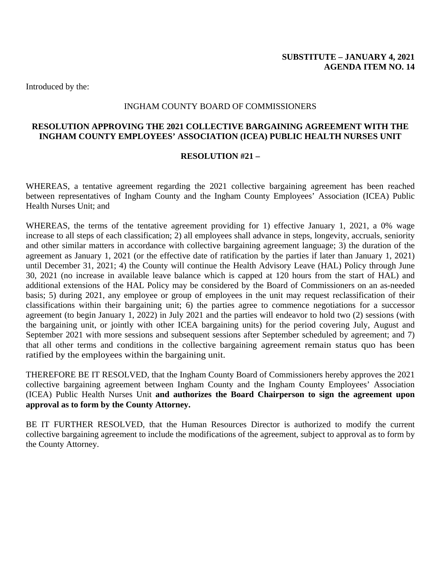## INGHAM COUNTY BOARD OF COMMISSIONERS

# <span id="page-22-0"></span>**RESOLUTION APPROVING THE 2021 COLLECTIVE BARGAINING AGREEMENT WITH THE INGHAM COUNTY EMPLOYEES' ASSOCIATION (ICEA) PUBLIC HEALTH NURSES UNIT**

#### **RESOLUTION #21 –**

WHEREAS, a tentative agreement regarding the 2021 collective bargaining agreement has been reached between representatives of Ingham County and the Ingham County Employees' Association (ICEA) Public Health Nurses Unit; and

WHEREAS, the terms of the tentative agreement providing for 1) effective January 1, 2021, a 0% wage increase to all steps of each classification; 2) all employees shall advance in steps, longevity, accruals, seniority and other similar matters in accordance with collective bargaining agreement language; 3) the duration of the agreement as January 1, 2021 (or the effective date of ratification by the parties if later than January 1, 2021) until December 31, 2021; 4) the County will continue the Health Advisory Leave (HAL) Policy through June 30, 2021 (no increase in available leave balance which is capped at 120 hours from the start of HAL) and additional extensions of the HAL Policy may be considered by the Board of Commissioners on an as-needed basis; 5) during 2021, any employee or group of employees in the unit may request reclassification of their classifications within their bargaining unit; 6) the parties agree to commence negotiations for a successor agreement (to begin January 1, 2022) in July 2021 and the parties will endeavor to hold two (2) sessions (with the bargaining unit, or jointly with other ICEA bargaining units) for the period covering July, August and September 2021 with more sessions and subsequent sessions after September scheduled by agreement; and 7) that all other terms and conditions in the collective bargaining agreement remain status quo has been ratified by the employees within the bargaining unit.

THEREFORE BE IT RESOLVED, that the Ingham County Board of Commissioners hereby approves the 2021 collective bargaining agreement between Ingham County and the Ingham County Employees' Association (ICEA) Public Health Nurses Unit **and authorizes the Board Chairperson to sign the agreement upon approval as to form by the County Attorney.**